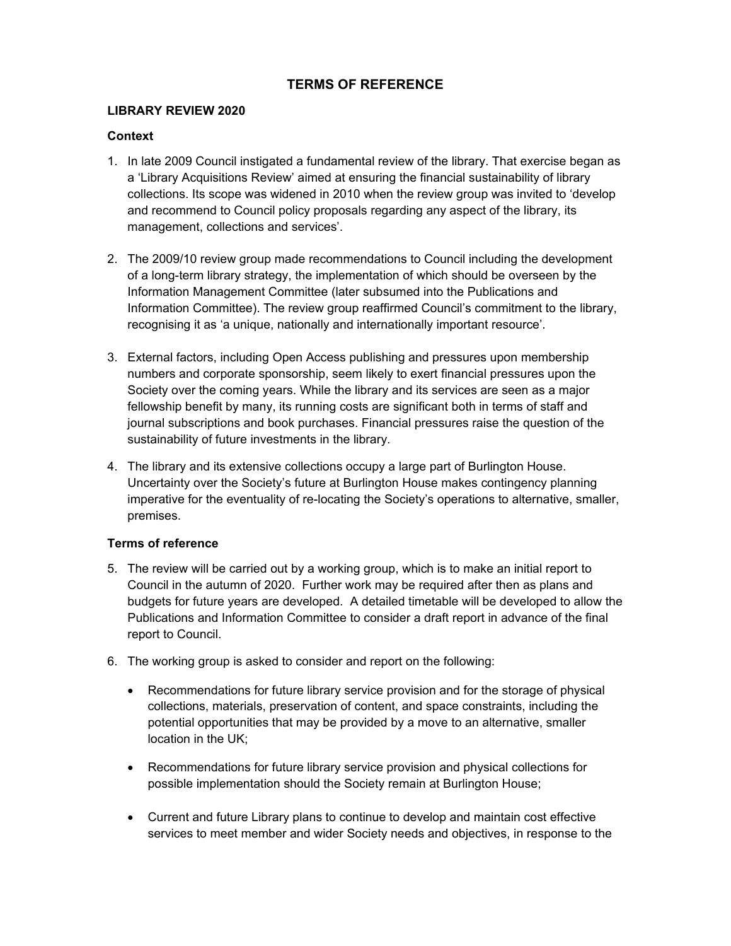# **TERMS OF REFERENCE**

#### **LIBRARY REVIEW 2020**

### **Context**

- 1. In late 2009 Council instigated a fundamental review of the library. That exercise began as a 'Library Acquisitions Review' aimed at ensuring the financial sustainability of library collections. Its scope was widened in 2010 when the review group was invited to 'develop and recommend to Council policy proposals regarding any aspect of the library, its management, collections and services'.
- 2. The 2009/10 review group made recommendations to Council including the development of a long-term library strategy, the implementation of which should be overseen by the Information Management Committee (later subsumed into the Publications and Information Committee). The review group reaffirmed Council's commitment to the library, recognising it as 'a unique, nationally and internationally important resource'.
- 3. External factors, including Open Access publishing and pressures upon membership numbers and corporate sponsorship, seem likely to exert financial pressures upon the Society over the coming years. While the library and its services are seen as a major fellowship benefit by many, its running costs are significant both in terms of staff and journal subscriptions and book purchases. Financial pressures raise the question of the sustainability of future investments in the library.
- 4. The library and its extensive collections occupy a large part of Burlington House. Uncertainty over the Society's future at Burlington House makes contingency planning imperative for the eventuality of re-locating the Society's operations to alternative, smaller, premises.

#### **Terms of reference**

- 5. The review will be carried out by a working group, which is to make an initial report to Council in the autumn of 2020. Further work may be required after then as plans and budgets for future years are developed. A detailed timetable will be developed to allow the Publications and Information Committee to consider a draft report in advance of the final report to Council.
- 6. The working group is asked to consider and report on the following:
	- Recommendations for future library service provision and for the storage of physical collections, materials, preservation of content, and space constraints, including the potential opportunities that may be provided by a move to an alternative, smaller location in the UK;
	- Recommendations for future library service provision and physical collections for possible implementation should the Society remain at Burlington House;
	- Current and future Library plans to continue to develop and maintain cost effective services to meet member and wider Society needs and objectives, in response to the